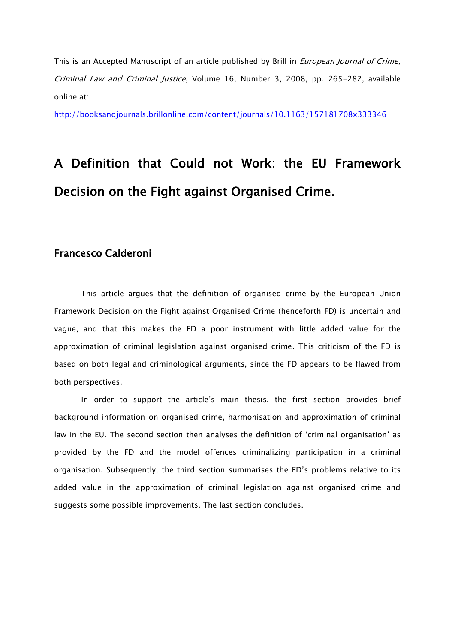This is an Accepted Manuscript of an article published by Brill in *European Journal of Crime*, Criminal Law and Criminal Justice, Volume 16, Number 3, 2008, pp. 265-282, available online at:

<http://booksandjournals.brillonline.com/content/journals/10.1163/157181708x333346>

# A Definition that Could not Work: the EU Framework Decision on the Fight against Organised Crime.

### Francesco Calderoni

This article argues that the definition of organised crime by the European Union Framework Decision on the Fight against Organised Crime (henceforth FD) is uncertain and vague, and that this makes the FD a poor instrument with little added value for the approximation of criminal legislation against organised crime. This criticism of the FD is based on both legal and criminological arguments, since the FD appears to be flawed from both perspectives.

In order to support the article's main thesis, the first section provides brief background information on organised crime, harmonisation and approximation of criminal law in the EU. The second section then analyses the definition of 'criminal organisation' as provided by the FD and the model offences criminalizing participation in a criminal organisation. Subsequently, the third section summarises the FD's problems relative to its added value in the approximation of criminal legislation against organised crime and suggests some possible improvements. The last section concludes.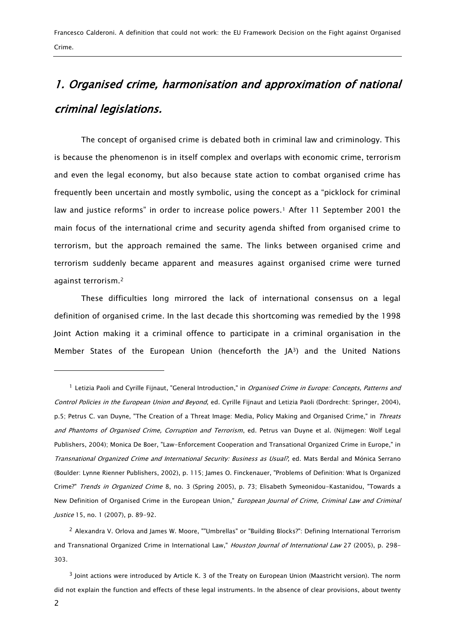## 1. Organised crime, harmonisation and approximation of national criminal legislations.

The concept of organised crime is debated both in criminal law and criminology. This is because the phenomenon is in itself complex and overlaps with economic crime, terrorism and even the legal economy, but also because state action to combat organised crime has frequently been uncertain and mostly symbolic, using the concept as a "picklock for criminal law and justice reforms" in order to increase police powers.<sup>1</sup> After 11 September 2001 the main focus of the international crime and security agenda shifted from organised crime to terrorism, but the approach remained the same. The links between organised crime and terrorism suddenly became apparent and measures against organised crime were turned against terrorism. 2

These difficulties long mirrored the lack of international consensus on a legal definition of organised crime. In the last decade this shortcoming was remedied by the 1998 Joint Action making it a criminal offence to participate in a criminal organisation in the Member States of the European Union (henceforth the JA<sup>3</sup>) and the United Nations

<sup>&</sup>lt;sup>1</sup> Letizia Paoli and Cyrille Fijnaut, "General Introduction," in *Organised Crime in Europe: Concepts, Patterns and* Control Policies in the European Union and Beyond, ed. Cyrille Fijnaut and Letizia Paoli (Dordrecht: Springer, 2004), p.5; Petrus C. van Duyne, "The Creation of a Threat Image: Media, Policy Making and Organised Crime," in Threats and Phantoms of Organised Crime, Corruption and Terrorism, ed. Petrus van Duyne et al. (Nijmegen: Wolf Legal Publishers, 2004); Monica De Boer, "Law-Enforcement Cooperation and Transational Organized Crime in Europe," in Transnational Organized Crime and International Security: Business as Usual?, ed. Mats Berdal and Mónica Serrano (Boulder: Lynne Rienner Publishers, 2002), p. 115; James O. Finckenauer, "Problems of Definition: What Is Organized Crime?" Trends in Organized Crime 8, no. 3 (Spring 2005), p. 73; Elisabeth Symeonidou-Kastanidou, "Towards a New Definition of Organised Crime in the European Union," European Journal of Crime, Criminal Law and Criminal Justice 15, no. 1 (2007), p. 89-92.

<sup>2</sup> Alexandra V. Orlova and James W. Moore, ""Umbrellas" or "Building Blocks?": Defining International Terrorism and Transnational Organized Crime in International Law," Houston Journal of International Law 27 (2005), p. 298-303.

<sup>3</sup> Joint actions were introduced by Article K. 3 of the Treaty on European Union (Maastricht version). The norm did not explain the function and effects of these legal instruments. In the absence of clear provisions, about twenty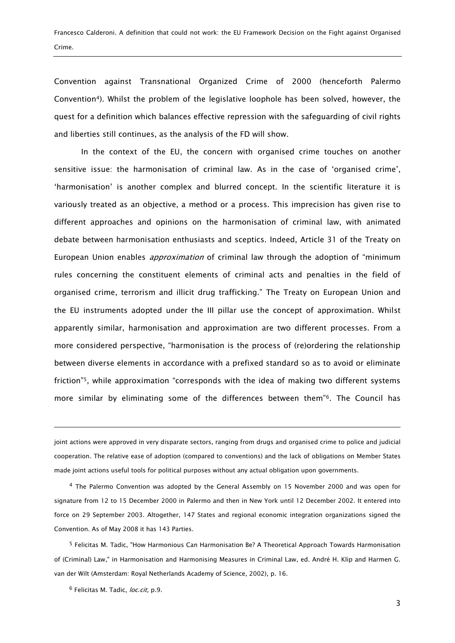Convention against Transnational Organized Crime of 2000 (henceforth Palermo Convention4). Whilst the problem of the legislative loophole has been solved, however, the quest for a definition which balances effective repression with the safeguarding of civil rights and liberties still continues, as the analysis of the FD will show.

In the context of the EU, the concern with organised crime touches on another sensitive issue: the harmonisation of criminal law. As in the case of 'organised crime', 'harmonisation' is another complex and blurred concept. In the scientific literature it is variously treated as an objective, a method or a process. This imprecision has given rise to different approaches and opinions on the harmonisation of criminal law, with animated debate between harmonisation enthusiasts and sceptics. Indeed, Article 31 of the Treaty on European Union enables *approximation* of criminal law through the adoption of "minimum rules concerning the constituent elements of criminal acts and penalties in the field of organised crime, terrorism and illicit drug trafficking." The Treaty on European Union and the EU instruments adopted under the III pillar use the concept of approximation. Whilst apparently similar, harmonisation and approximation are two different processes. From a more considered perspective, "harmonisation is the process of (re)ordering the relationship between diverse elements in accordance with a prefixed standard so as to avoid or eliminate friction"5, while approximation "corresponds with the idea of making two different systems more similar by eliminating some of the differences between them"6. The Council has

joint actions were approved in very disparate sectors, ranging from drugs and organised crime to police and judicial cooperation. The relative ease of adoption (compared to conventions) and the lack of obligations on Member States made joint actions useful tools for political purposes without any actual obligation upon governments.

4 The Palermo Convention was adopted by the General Assembly on 15 November 2000 and was open for signature from 12 to 15 December 2000 in Palermo and then in New York until 12 December 2002. It entered into force on 29 September 2003. Altogether, 147 States and regional economic integration organizations signed the Convention. As of May 2008 it has 143 Parties.

5 Felicitas M. Tadic, "How Harmonious Can Harmonisation Be? A Theoretical Approach Towards Harmonisation of (Criminal) Law," in Harmonisation and Harmonising Measures in Criminal Law, ed. André H. Klip and Harmen G. van der Wilt (Amsterdam: Royal Netherlands Academy of Science, 2002), p. 16.

<sup>6</sup> Felicitas M. Tadic, loc.cit, p.9.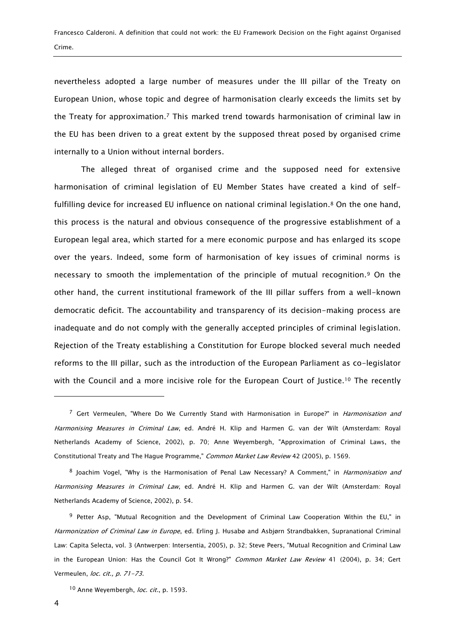nevertheless adopted a large number of measures under the III pillar of the Treaty on European Union, whose topic and degree of harmonisation clearly exceeds the limits set by the Treaty for approximation.<sup>7</sup> This marked trend towards harmonisation of criminal law in the EU has been driven to a great extent by the supposed threat posed by organised crime internally to a Union without internal borders.

The alleged threat of organised crime and the supposed need for extensive harmonisation of criminal legislation of EU Member States have created a kind of selffulfilling device for increased EU influence on national criminal legislation.<sup>8</sup> On the one hand, this process is the natural and obvious consequence of the progressive establishment of a European legal area, which started for a mere economic purpose and has enlarged its scope over the years. Indeed, some form of harmonisation of key issues of criminal norms is necessary to smooth the implementation of the principle of mutual recognition.<sup>9</sup> On the other hand, the current institutional framework of the III pillar suffers from a well-known democratic deficit. The accountability and transparency of its decision-making process are inadequate and do not comply with the generally accepted principles of criminal legislation. Rejection of the Treaty establishing a Constitution for Europe blocked several much needed reforms to the III pillar, such as the introduction of the European Parliament as co-legislator with the Council and a more incisive role for the European Court of Justice.<sup>10</sup> The recently

<sup>8</sup> Joachim Vogel, "Why is the Harmonisation of Penal Law Necessary? A Comment," in *Harmonisation and* Harmonising Measures in Criminal Law, ed. André H. Klip and Harmen G. van der Wilt (Amsterdam: Royal Netherlands Academy of Science, 2002), p. 54.

9 Petter Asp, "Mutual Recognition and the Development of Criminal Law Cooperation Within the EU," in Harmonization of Criminal Law in Europe, ed. Erling J. Husabø and Asbjørn Strandbakken, Supranational Criminal Law: Capita Selecta, vol. 3 (Antwerpen: Intersentia, 2005), p. 32; Steve Peers, "Mutual Recognition and Criminal Law in the European Union: Has the Council Got It Wrong?" Common Market Law Review 41 (2004), p. 34; Gert Vermeulen, loc. cit., p. 71-73.

10 Anne Weyembergh, loc. cit., p. 1593.

<sup>&</sup>lt;sup>7</sup> Gert Vermeulen, "Where Do We Currently Stand with Harmonisation in Europe?" in *Harmonisation and* Harmonising Measures in Criminal Law, ed. André H. Klip and Harmen G. van der Wilt (Amsterdam: Royal Netherlands Academy of Science, 2002), p. 70; Anne Weyembergh, "Approximation of Criminal Laws, the Constitutional Treaty and The Hague Programme," Common Market Law Review 42 (2005), p. 1569.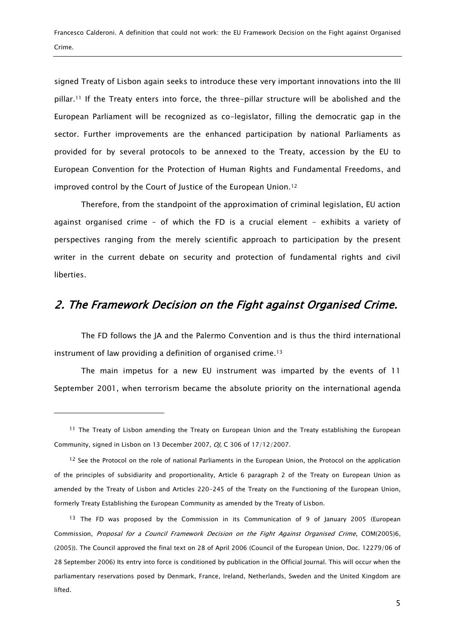signed Treaty of Lisbon again seeks to introduce these very important innovations into the III pillar. <sup>11</sup> If the Treaty enters into force, the three-pillar structure will be abolished and the European Parliament will be recognized as co-legislator, filling the democratic gap in the sector. Further improvements are the enhanced participation by national Parliaments as provided for by several protocols to be annexed to the Treaty, accession by the EU to European Convention for the Protection of Human Rights and Fundamental Freedoms, and improved control by the Court of Justice of the European Union. 12

Therefore, from the standpoint of the approximation of criminal legislation, EU action against organised crime - of which the FD is a crucial element - exhibits a variety of perspectives ranging from the merely scientific approach to participation by the present writer in the current debate on security and protection of fundamental rights and civil liberties.

## 2. The Framework Decision on the Fight against Organised Crime.

The FD follows the JA and the Palermo Convention and is thus the third international instrument of law providing a definition of organised crime.<sup>13</sup>

The main impetus for a new EU instrument was imparted by the events of 11 September 2001, when terrorism became the absolute priority on the international agenda

<sup>&</sup>lt;sup>11</sup> The Treaty of Lisbon amending the Treaty on European Union and the Treaty establishing the European Community, signed in Lisbon on 13 December 2007, OJ, C 306 of 17/12/2007.

 $12$  See the Protocol on the role of national Parliaments in the European Union, the Protocol on the application of the principles of subsidiarity and proportionality, Article 6 paragraph 2 of the Treaty on European Union as amended by the Treaty of Lisbon and Articles 220-245 of the Treaty on the Functioning of the European Union, formerly Treaty Establishing the European Community as amended by the Treaty of Lisbon.

<sup>&</sup>lt;sup>13</sup> The FD was proposed by the Commission in its Communication of 9 of January 2005 (European Commission, Proposal for a Council Framework Decision on the Fight Against Organised Crime, COM(2005)6, (2005)). The Council approved the final text on 28 of April 2006 (Council of the European Union, Doc. 12279/06 of 28 September 2006) Its entry into force is conditioned by publication in the Official Journal. This will occur when the parliamentary reservations posed by Denmark, France, Ireland, Netherlands, Sweden and the United Kingdom are lifted.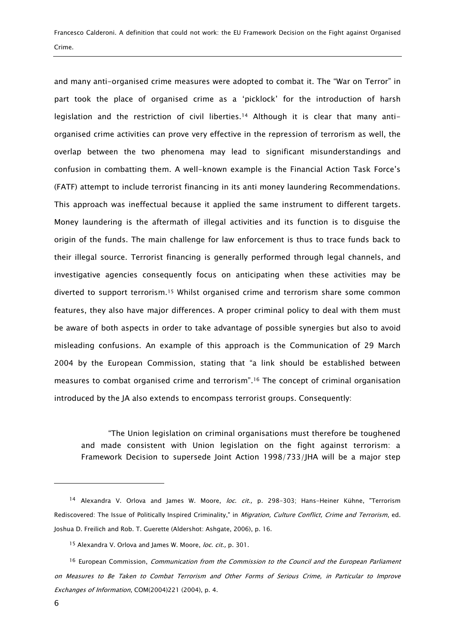and many anti-organised crime measures were adopted to combat it. The "War on Terror" in part took the place of organised crime as a 'picklock' for the introduction of harsh legislation and the restriction of civil liberties.<sup>14</sup> Although it is clear that many antiorganised crime activities can prove very effective in the repression of terrorism as well, the overlap between the two phenomena may lead to significant misunderstandings and confusion in combatting them. A well-known example is the Financial Action Task Force's (FATF) attempt to include terrorist financing in its anti money laundering Recommendations. This approach was ineffectual because it applied the same instrument to different targets. Money laundering is the aftermath of illegal activities and its function is to disguise the origin of the funds. The main challenge for law enforcement is thus to trace funds back to their illegal source. Terrorist financing is generally performed through legal channels, and investigative agencies consequently focus on anticipating when these activities may be diverted to support terrorism.<sup>15</sup> Whilst organised crime and terrorism share some common features, they also have major differences. A proper criminal policy to deal with them must be aware of both aspects in order to take advantage of possible synergies but also to avoid misleading confusions. An example of this approach is the Communication of 29 March 2004 by the European Commission, stating that "a link should be established between measures to combat organised crime and terrorism". <sup>16</sup> The concept of criminal organisation introduced by the JA also extends to encompass terrorist groups. Consequently:

"The Union legislation on criminal organisations must therefore be toughened and made consistent with Union legislation on the fight against terrorism: a Framework Decision to supersede Joint Action 1998/733/JHA will be a major step

<sup>&</sup>lt;sup>14</sup> Alexandra V. Orlova and James W. Moore, loc. cit., p. 298-303; Hans-Heiner Kühne, "Terrorism Rediscovered: The Issue of Politically Inspired Criminality," in *Migration, Culture Conflict, Crime and Terrorism*, ed. Joshua D. Freilich and Rob. T. Guerette (Aldershot: Ashgate, 2006), p. 16.

<sup>&</sup>lt;sup>15</sup> Alexandra V. Orlova and James W. Moore, loc. cit., p. 301.

<sup>&</sup>lt;sup>16</sup> European Commission, *Communication from the Commission to the Council and the European Parliament* on Measures to Be Taken to Combat Terrorism and Other Forms of Serious Crime, in Particular to Improve Exchanges of Information, COM(2004)221 (2004), p. 4.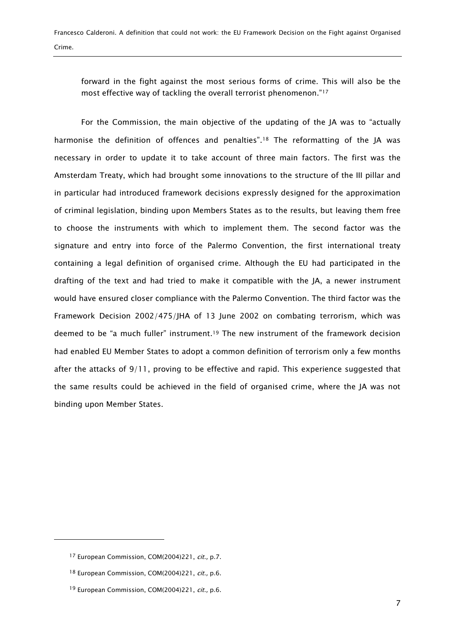forward in the fight against the most serious forms of crime. This will also be the most effective way of tackling the overall terrorist phenomenon."<sup>17</sup>

For the Commission, the main objective of the updating of the JA was to "actually harmonise the definition of offences and penalties". <sup>18</sup> The reformatting of the JA was necessary in order to update it to take account of three main factors. The first was the Amsterdam Treaty, which had brought some innovations to the structure of the III pillar and in particular had introduced framework decisions expressly designed for the approximation of criminal legislation, binding upon Members States as to the results, but leaving them free to choose the instruments with which to implement them. The second factor was the signature and entry into force of the Palermo Convention, the first international treaty containing a legal definition of organised crime. Although the EU had participated in the drafting of the text and had tried to make it compatible with the JA, a newer instrument would have ensured closer compliance with the Palermo Convention. The third factor was the Framework Decision 2002/475/JHA of 13 June 2002 on combating terrorism, which was deemed to be "a much fuller" instrument.<sup>19</sup> The new instrument of the framework decision had enabled EU Member States to adopt a common definition of terrorism only a few months after the attacks of 9/11, proving to be effective and rapid. This experience suggested that the same results could be achieved in the field of organised crime, where the JA was not binding upon Member States.

 $\overline{a}$ 

18 European Commission, COM(2004)221, cit., p.6.

<sup>17</sup> European Commission, COM(2004)221, cit., p.7.

<sup>&</sup>lt;sup>19</sup> European Commission, COM(2004)221, *cit.*, p.6.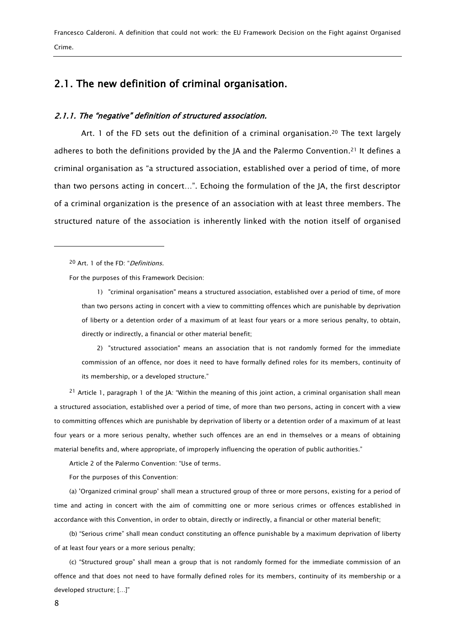## 2.1. The new definition of criminal organisation.

#### 2.1.1. The "negative" definition of structured association.

Art. 1 of the FD sets out the definition of a criminal organisation.<sup>20</sup> The text largely adheres to both the definitions provided by the JA and the Palermo Convention.<sup>21</sup> It defines a criminal organisation as "a structured association, established over a period of time, of more than two persons acting in concert…". Echoing the formulation of the JA, the first descriptor of a criminal organization is the presence of an association with at least three members. The structured nature of the association is inherently linked with the notion itself of organised

<sup>20</sup> Art. 1 of the FD: "Definitions.

l

For the purposes of this Framework Decision:

1) "criminal organisation" means a structured association, established over a period of time, of more than two persons acting in concert with a view to committing offences which are punishable by deprivation of liberty or a detention order of a maximum of at least four years or a more serious penalty, to obtain, directly or indirectly, a financial or other material benefit;

2) "structured association" means an association that is not randomly formed for the immediate commission of an offence, nor does it need to have formally defined roles for its members, continuity of its membership, or a developed structure."

<sup>21</sup> Article 1, paragraph 1 of the JA: "Within the meaning of this joint action, a criminal organisation shall mean a structured association, established over a period of time, of more than two persons, acting in concert with a view to committing offences which are punishable by deprivation of liberty or a detention order of a maximum of at least four years or a more serious penalty, whether such offences are an end in themselves or a means of obtaining material benefits and, where appropriate, of improperly influencing the operation of public authorities."

Article 2 of the Palermo Convention: "Use of terms.

For the purposes of this Convention:

(a) 'Organized criminal group' shall mean a structured group of three or more persons, existing for a period of time and acting in concert with the aim of committing one or more serious crimes or offences established in accordance with this Convention, in order to obtain, directly or indirectly, a financial or other material benefit;

(b) "Serious crime" shall mean conduct constituting an offence punishable by a maximum deprivation of liberty of at least four years or a more serious penalty;

(c) "Structured group" shall mean a group that is not randomly formed for the immediate commission of an offence and that does not need to have formally defined roles for its members, continuity of its membership or a developed structure; […]"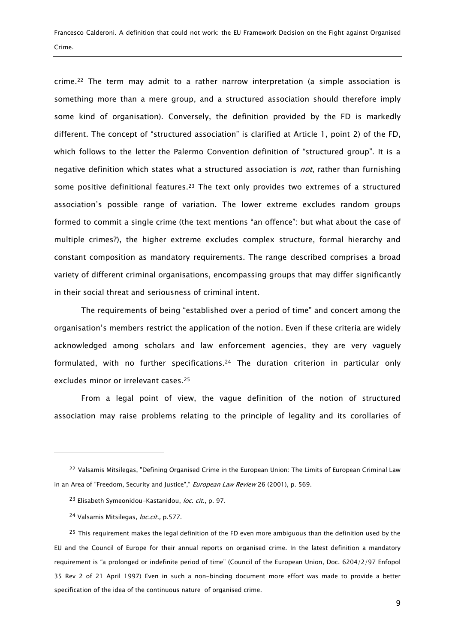crime. <sup>22</sup> The term may admit to a rather narrow interpretation (a simple association is something more than a mere group, and a structured association should therefore imply some kind of organisation). Conversely, the definition provided by the FD is markedly different. The concept of "structured association" is clarified at Article 1, point 2) of the FD, which follows to the letter the Palermo Convention definition of "structured group". It is a negative definition which states what a structured association is not, rather than furnishing some positive definitional features.<sup>23</sup> The text only provides two extremes of a structured association's possible range of variation. The lower extreme excludes random groups formed to commit a single crime (the text mentions "an offence": but what about the case of multiple crimes?), the higher extreme excludes complex structure, formal hierarchy and constant composition as mandatory requirements. The range described comprises a broad variety of different criminal organisations, encompassing groups that may differ significantly in their social threat and seriousness of criminal intent.

The requirements of being "established over a period of time" and concert among the organisation's members restrict the application of the notion. Even if these criteria are widely acknowledged among scholars and law enforcement agencies, they are very vaguely formulated, with no further specifications. <sup>24</sup> The duration criterion in particular only excludes minor or irrelevant cases.<sup>25</sup>

From a legal point of view, the vague definition of the notion of structured association may raise problems relating to the principle of legality and its corollaries of

<sup>&</sup>lt;sup>22</sup> Valsamis Mitsilegas, "Defining Organised Crime in the European Union: The Limits of European Criminal Law in an Area of "Freedom, Security and Justice"," European Law Review 26 (2001), p. 569.

<sup>23</sup> Elisabeth Symeonidou-Kastanidou, loc. cit., p. 97.

<sup>24</sup> Valsamis Mitsilegas, loc.cit., p.577.

<sup>&</sup>lt;sup>25</sup> This requirement makes the legal definition of the FD even more ambiguous than the definition used by the EU and the Council of Europe for their annual reports on organised crime. In the latest definition a mandatory requirement is "a prolonged or indefinite period of time" (Council of the European Union, Doc. 6204/2/97 Enfopol 35 Rev 2 of 21 April 1997) Even in such a non-binding document more effort was made to provide a better specification of the idea of the continuous nature of organised crime.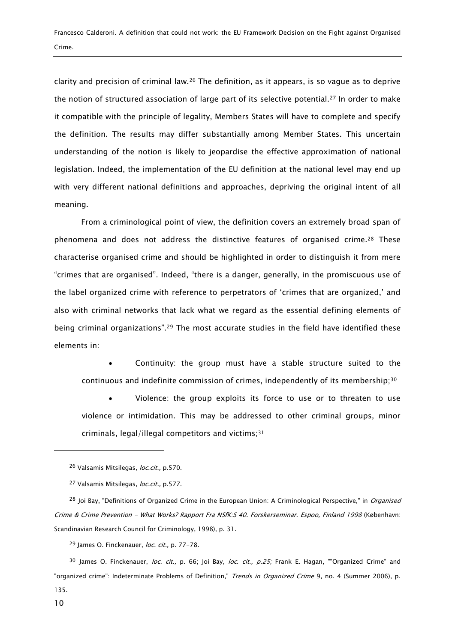clarity and precision of criminal law.<sup>26</sup> The definition, as it appears, is so vague as to deprive the notion of structured association of large part of its selective potential.<sup>27</sup> In order to make it compatible with the principle of legality, Members States will have to complete and specify the definition. The results may differ substantially among Member States. This uncertain understanding of the notion is likely to jeopardise the effective approximation of national legislation. Indeed, the implementation of the EU definition at the national level may end up with very different national definitions and approaches, depriving the original intent of all meaning.

From a criminological point of view, the definition covers an extremely broad span of phenomena and does not address the distinctive features of organised crime.<sup>28</sup> These characterise organised crime and should be highlighted in order to distinguish it from mere "crimes that are organised". Indeed, "there is a danger, generally, in the promiscuous use of the label organized crime with reference to perpetrators of 'crimes that are organized,' and also with criminal networks that lack what we regard as the essential defining elements of being criminal organizations". <sup>29</sup> The most accurate studies in the field have identified these elements in:

 Continuity: the group must have a stable structure suited to the continuous and indefinite commission of crimes, independently of its membership;<sup>30</sup>

 Violence: the group exploits its force to use or to threaten to use violence or intimidation. This may be addressed to other criminal groups, minor criminals, legal/illegal competitors and victims;<sup>31</sup>

29 James O. Finckenauer, loc. cit., p. 77-78.

 $30$  James O. Finckenauer, *loc. cit.*, p. 66; Joi Bay, *loc. cit., p.25;* Frank E. Hagan, ""Organized Crime" and "organized crime": Indeterminate Problems of Definition," Trends in Organized Crime 9, no. 4 (Summer 2006), p.

10 135.

<sup>26</sup> Valsamis Mitsilegas, loc.cit., p.570.

<sup>&</sup>lt;sup>27</sup> Valsamis Mitsilegas, loc.cit., p.577.

<sup>&</sup>lt;sup>28</sup> Joi Bay, "Definitions of Organized Crime in the European Union: A Criminological Perspective," in *Organised* Crime & Crime Prevention - What Works? Rapport Fra NSfK:S 40. Forskerseminar. Espoo, Finland 1998 (København: Scandinavian Research Council for Criminology, 1998), p. 31.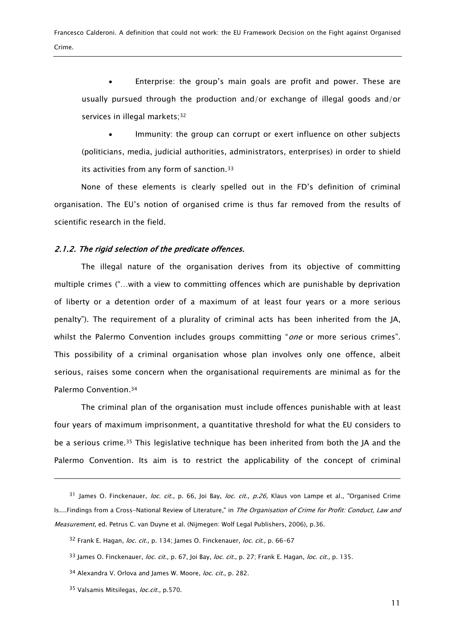Enterprise: the group's main goals are profit and power. These are usually pursued through the production and/or exchange of illegal goods and/or services in illegal markets;<sup>32</sup>

 Immunity: the group can corrupt or exert influence on other subjects (politicians, media, judicial authorities, administrators, enterprises) in order to shield its activities from any form of sanction.<sup>33</sup>

None of these elements is clearly spelled out in the FD's definition of criminal organisation. The EU's notion of organised crime is thus far removed from the results of scientific research in the field.

#### 2.1.2. The rigid selection of the predicate offences.

The illegal nature of the organisation derives from its objective of committing multiple crimes ("…with a view to committing offences which are punishable by deprivation of liberty or a detention order of a maximum of at least four years or a more serious penalty"). The requirement of a plurality of criminal acts has been inherited from the JA, whilst the Palermo Convention includes groups committing "one or more serious crimes". This possibility of a criminal organisation whose plan involves only one offence, albeit serious, raises some concern when the organisational requirements are minimal as for the Palermo Convention. 34

The criminal plan of the organisation must include offences punishable with at least four years of maximum imprisonment, a quantitative threshold for what the EU considers to be a serious crime.<sup>35</sup> This legislative technique has been inherited from both the JA and the Palermo Convention. Its aim is to restrict the applicability of the concept of criminal

 $31$  James O. Finckenauer, loc. cit., p. 66, Joi Bay, loc. cit., p.26, Klaus von Lampe et al., "Organised Crime Is....Findings from a Cross-National Review of Literature," in The Organisation of Crime for Profit: Conduct, Law and Measurement, ed. Petrus C. van Duyne et al. (Nijmegen: Wolf Legal Publishers, 2006), p.36.

 $32$  Frank E. Hagan, *loc. cit.*, p. 134; James O. Finckenauer, *loc. cit.*, p. 66–67

 $33$  James O. Finckenauer, loc. cit., p. 67, Joi Bay, loc. cit., p. 27; Frank E. Hagan, loc. cit., p. 135.

<sup>34</sup> Alexandra V. Orlova and James W. Moore, *loc. cit.*, p. 282.

<sup>35</sup> Valsamis Mitsilegas, loc.cit., p.570.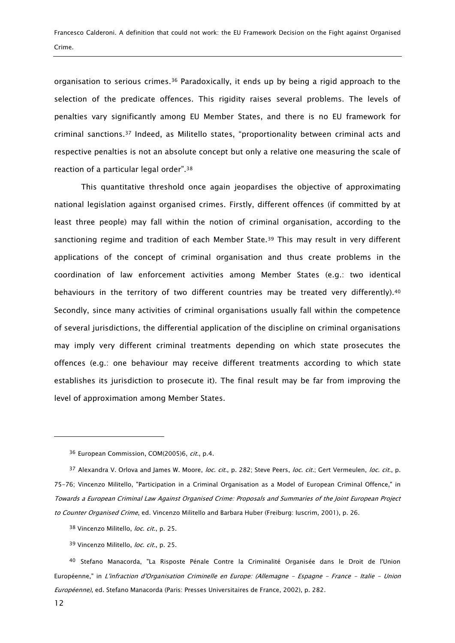organisation to serious crimes.<sup>36</sup> Paradoxically, it ends up by being a rigid approach to the selection of the predicate offences. This rigidity raises several problems. The levels of penalties vary significantly among EU Member States, and there is no EU framework for criminal sanctions.<sup>37</sup> Indeed, as Militello states, "proportionality between criminal acts and respective penalties is not an absolute concept but only a relative one measuring the scale of reaction of a particular legal order".<sup>38</sup>

This quantitative threshold once again jeopardises the objective of approximating national legislation against organised crimes. Firstly, different offences (if committed by at least three people) may fall within the notion of criminal organisation, according to the sanctioning regime and tradition of each Member State.<sup>39</sup> This may result in very different applications of the concept of criminal organisation and thus create problems in the coordination of law enforcement activities among Member States (e.g.: two identical behaviours in the territory of two different countries may be treated very differently). 40 Secondly, since many activities of criminal organisations usually fall within the competence of several jurisdictions, the differential application of the discipline on criminal organisations may imply very different criminal treatments depending on which state prosecutes the offences (e.g.: one behaviour may receive different treatments according to which state establishes its jurisdiction to prosecute it). The final result may be far from improving the level of approximation among Member States.

<sup>36</sup> European Commission, COM(2005)6, cit., p.4.

<sup>37</sup> Alexandra V. Orlova and James W. Moore, loc. cit., p. 282; Steve Peers, loc. cit.; Gert Vermeulen, loc. cit., p. 75-76; Vincenzo Militello, "Participation in a Criminal Organisation as a Model of European Criminal Offence," in Towards a European Criminal Law Against Organised Crime: Proposals and Summaries of the Joint European Project to Counter Organised Crime, ed. Vincenzo Militello and Barbara Huber (Freiburg: luscrim, 2001), p. 26.

<sup>38</sup> Vincenzo Militello, loc. cit., p. 25.

<sup>39</sup> Vincenzo Militello, loc. cit., p. 25.

<sup>40</sup> Stefano Manacorda, "La Risposte Pénale Contre la Criminalité Organisée dans le Droit de l'Union Européenne," in L'infraction d'Organisation Criminelle en Europe: (Allemagne - Espagne - France - Italie - Union Européenne), ed. Stefano Manacorda (Paris: Presses Universitaires de France, 2002), p. 282.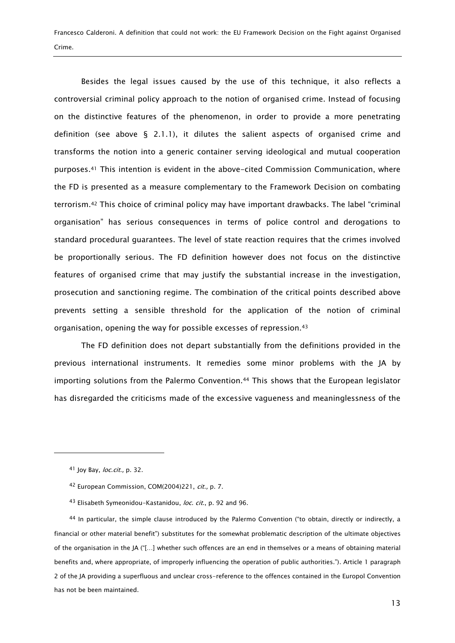Besides the legal issues caused by the use of this technique, it also reflects a controversial criminal policy approach to the notion of organised crime. Instead of focusing on the distinctive features of the phenomenon, in order to provide a more penetrating definition (see above  $\S$  2.1.1), it dilutes the salient aspects of organised crime and transforms the notion into a generic container serving ideological and mutual cooperation purposes.<sup>41</sup> This intention is evident in the above-cited Commission Communication, where the FD is presented as a measure complementary to the Framework Decision on combating terrorism.<sup>42</sup> This choice of criminal policy may have important drawbacks. The label "criminal organisation" has serious consequences in terms of police control and derogations to standard procedural guarantees. The level of state reaction requires that the crimes involved be proportionally serious. The FD definition however does not focus on the distinctive features of organised crime that may justify the substantial increase in the investigation, prosecution and sanctioning regime. The combination of the critical points described above prevents setting a sensible threshold for the application of the notion of criminal organisation, opening the way for possible excesses of repression.<sup>43</sup>

The FD definition does not depart substantially from the definitions provided in the previous international instruments. It remedies some minor problems with the JA by importing solutions from the Palermo Convention.<sup>44</sup> This shows that the European legislator has disregarded the criticisms made of the excessive vagueness and meaninglessness of the

 $\overline{a}$ 

44 In particular, the simple clause introduced by the Palermo Convention ("to obtain, directly or indirectly, a financial or other material benefit") substitutes for the somewhat problematic description of the ultimate objectives of the organisation in the JA ("[…] whether such offences are an end in themselves or a means of obtaining material benefits and, where appropriate, of improperly influencing the operation of public authorities."). Article 1 paragraph 2 of the JA providing a superfluous and unclear cross-reference to the offences contained in the Europol Convention has not be been maintained.

 $41$  Joy Bay, *loc.cit.*, p. 32.

<sup>42</sup> European Commission, COM(2004)221, cit., p. 7.

<sup>43</sup> Elisabeth Symeonidou-Kastanidou, loc. cit., p. 92 and 96.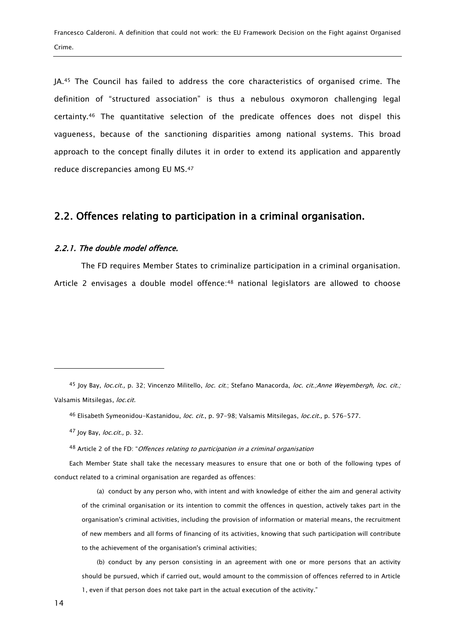JA.<sup>45</sup> The Council has failed to address the core characteristics of organised crime. The definition of "structured association" is thus a nebulous oxymoron challenging legal certainty.<sup>46</sup> The quantitative selection of the predicate offences does not dispel this vagueness, because of the sanctioning disparities among national systems. This broad approach to the concept finally dilutes it in order to extend its application and apparently reduce discrepancies among EU MS.<sup>47</sup>

## 2.2. Offences relating to participation in a criminal organisation.

#### 2.2.1. The double model offence.

The FD requires Member States to criminalize participation in a criminal organisation. Article 2 envisages a double model offence: <sup>48</sup> national legislators are allowed to choose

 $47$  Joy Bay, *loc.cit.*, p. 32.

Each Member State shall take the necessary measures to ensure that one or both of the following types of conduct related to a criminal organisation are regarded as offences:

(a) conduct by any person who, with intent and with knowledge of either the aim and general activity of the criminal organisation or its intention to commit the offences in question, actively takes part in the organisation's criminal activities, including the provision of information or material means, the recruitment of new members and all forms of financing of its activities, knowing that such participation will contribute to the achievement of the organisation's criminal activities;

(b) conduct by any person consisting in an agreement with one or more persons that an activity should be pursued, which if carried out, would amount to the commission of offences referred to in Article 1, even if that person does not take part in the actual execution of the activity."

<sup>45</sup> Joy Bay, loc.cit., p. 32; Vincenzo Militello, loc. cit.; Stefano Manacorda, loc. cit.;Anne Weyembergh, loc. cit.; Valsamis Mitsilegas, loc.cit.

<sup>46</sup> Elisabeth Symeonidou-Kastanidou, loc. cit., p. 97-98; Valsamis Mitsilegas, loc.cit., p. 576-577.

<sup>48</sup> Article 2 of the FD: "Offences relating to participation in a criminal organisation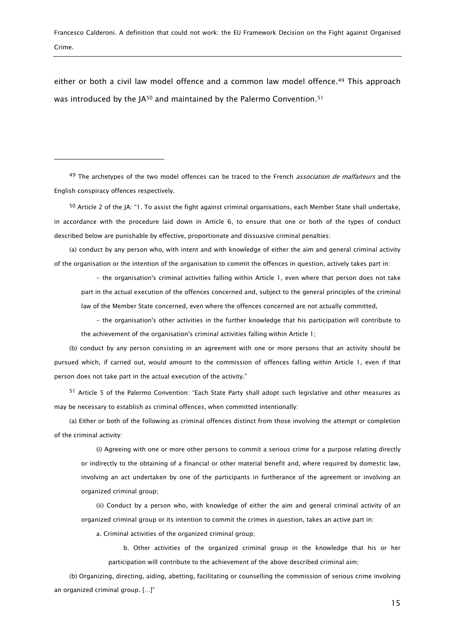either or both a civil law model offence and a common law model offence.<sup>49</sup> This approach was introduced by the JA<sup>50</sup> and maintained by the Palermo Convention.<sup>51</sup>

<sup>49</sup> The archetypes of the two model offences can be traced to the French *association de malfaiteurs* and the English conspiracy offences respectively.

 $\overline{a}$ 

50 Article 2 of the JA: "1. To assist the fight against criminal organisations, each Member State shall undertake, in accordance with the procedure laid down in Article 6, to ensure that one or both of the types of conduct described below are punishable by effective, proportionate and dissuasive criminal penalties:

(a) conduct by any person who, with intent and with knowledge of either the aim and general criminal activity of the organisation or the intention of the organisation to commit the offences in question, actively takes part in:

- the organisation's criminal activities falling within Article 1, even where that person does not take part in the actual execution of the offences concerned and, subject to the general principles of the criminal law of the Member State concerned, even where the offences concerned are not actually committed,

- the organisation's other activities in the further knowledge that his participation will contribute to the achievement of the organisation's criminal activities falling within Article 1;

(b) conduct by any person consisting in an agreement with one or more persons that an activity should be pursued which, if carried out, would amount to the commission of offences falling within Article 1, even if that person does not take part in the actual execution of the activity."

51 Article 5 of the Palermo Convention: "Each State Party shall adopt such legislative and other measures as may be necessary to establish as criminal offences, when committed intentionally:

(a) Either or both of the following as criminal offences distinct from those involving the attempt or completion of the criminal activity:

(i) Agreeing with one or more other persons to commit a serious crime for a purpose relating directly or indirectly to the obtaining of a financial or other material benefit and, where required by domestic law, involving an act undertaken by one of the participants in furtherance of the agreement or involving an organized criminal group;

(ii) Conduct by a person who, with knowledge of either the aim and general criminal activity of an organized criminal group or its intention to commit the crimes in question, takes an active part in:

a. Criminal activities of the organized criminal group;

b. Other activities of the organized criminal group in the knowledge that his or her participation will contribute to the achievement of the above described criminal aim;

(b) Organizing, directing, aiding, abetting, facilitating or counselling the commission of serious crime involving an organized criminal group. […]"

15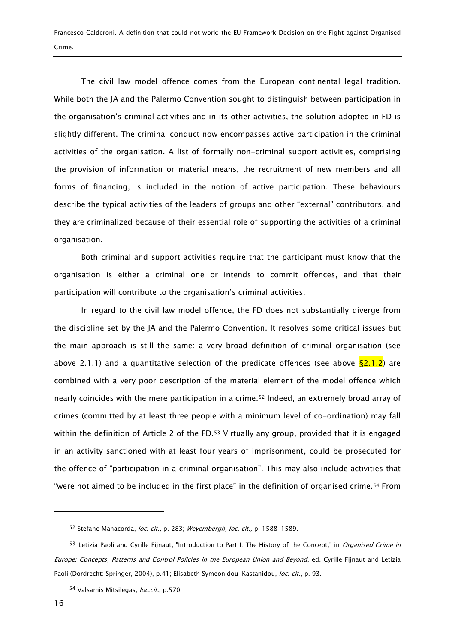The civil law model offence comes from the European continental legal tradition. While both the JA and the Palermo Convention sought to distinguish between participation in the organisation's criminal activities and in its other activities, the solution adopted in FD is slightly different. The criminal conduct now encompasses active participation in the criminal activities of the organisation. A list of formally non-criminal support activities, comprising the provision of information or material means, the recruitment of new members and all forms of financing, is included in the notion of active participation. These behaviours describe the typical activities of the leaders of groups and other "external" contributors, and they are criminalized because of their essential role of supporting the activities of a criminal organisation.

Both criminal and support activities require that the participant must know that the organisation is either a criminal one or intends to commit offences, and that their participation will contribute to the organisation's criminal activities.

In regard to the civil law model offence, the FD does not substantially diverge from the discipline set by the JA and the Palermo Convention. It resolves some critical issues but the main approach is still the same: a very broad definition of criminal organisation (see above 2.1.1) and a quantitative selection of the predicate offences (see above  $\S$ 2.1.2) are combined with a very poor description of the material element of the model offence which nearly coincides with the mere participation in a crime.<sup>52</sup> Indeed, an extremely broad array of crimes (committed by at least three people with a minimum level of co-ordination) may fall within the definition of Article 2 of the FD.<sup>53</sup> Virtually any group, provided that it is engaged in an activity sanctioned with at least four years of imprisonment, could be prosecuted for the offence of "participation in a criminal organisation". This may also include activities that "were not aimed to be included in the first place" in the definition of organised crime.<sup>54</sup> From

<sup>52</sup> Stefano Manacorda, loc. cit., p. 283; Weyembergh, loc. cit., p. 1588-1589.

<sup>53</sup> Letizia Paoli and Cyrille Fijnaut, "Introduction to Part I: The History of the Concept," in *Organised Crime in* Europe: Concepts, Patterns and Control Policies in the European Union and Beyond, ed. Cyrille Fijnaut and Letizia Paoli (Dordrecht: Springer, 2004), p.41; Elisabeth Symeonidou-Kastanidou, loc. cit., p. 93.

<sup>54</sup> Valsamis Mitsilegas, loc.cit., p.570.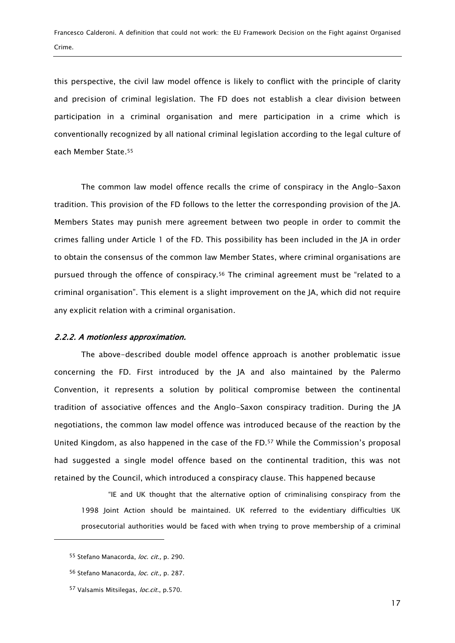this perspective, the civil law model offence is likely to conflict with the principle of clarity and precision of criminal legislation. The FD does not establish a clear division between participation in a criminal organisation and mere participation in a crime which is conventionally recognized by all national criminal legislation according to the legal culture of each Member State.<sup>55</sup>

The common law model offence recalls the crime of conspiracy in the Anglo-Saxon tradition. This provision of the FD follows to the letter the corresponding provision of the JA. Members States may punish mere agreement between two people in order to commit the crimes falling under Article 1 of the FD. This possibility has been included in the JA in order to obtain the consensus of the common law Member States, where criminal organisations are pursued through the offence of conspiracy. <sup>56</sup> The criminal agreement must be "related to a criminal organisation". This element is a slight improvement on the JA, which did not require any explicit relation with a criminal organisation.

#### 2.2.2. A motionless approximation.

The above-described double model offence approach is another problematic issue concerning the FD. First introduced by the JA and also maintained by the Palermo Convention, it represents a solution by political compromise between the continental tradition of associative offences and the Anglo-Saxon conspiracy tradition. During the JA negotiations, the common law model offence was introduced because of the reaction by the United Kingdom, as also happened in the case of the FD. <sup>57</sup> While the Commission's proposal had suggested a single model offence based on the continental tradition, this was not retained by the Council, which introduced a conspiracy clause. This happened because

"IE and UK thought that the alternative option of criminalising conspiracy from the 1998 Joint Action should be maintained. UK referred to the evidentiary difficulties UK prosecutorial authorities would be faced with when trying to prove membership of a criminal

 $\overline{a}$ 

17

<sup>55</sup> Stefano Manacorda, loc. cit., p. 290.

<sup>56</sup> Stefano Manacorda, loc. cit., p. 287.

<sup>57</sup> Valsamis Mitsilegas, loc.cit., p.570.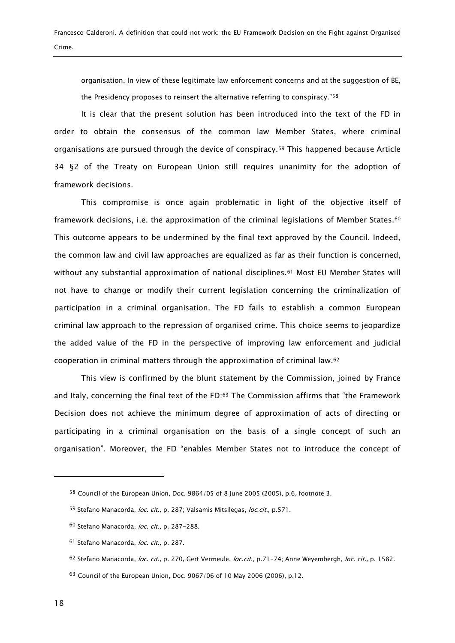organisation. In view of these legitimate law enforcement concerns and at the suggestion of BE, the Presidency proposes to reinsert the alternative referring to conspiracy."<sup>58</sup>

It is clear that the present solution has been introduced into the text of the FD in order to obtain the consensus of the common law Member States, where criminal organisations are pursued through the device of conspiracy.<sup>59</sup> This happened because Article 34 §2 of the Treaty on European Union still requires unanimity for the adoption of framework decisions.

This compromise is once again problematic in light of the objective itself of framework decisions, i.e. the approximation of the criminal legislations of Member States.<sup>60</sup> This outcome appears to be undermined by the final text approved by the Council. Indeed, the common law and civil law approaches are equalized as far as their function is concerned, without any substantial approximation of national disciplines.<sup>61</sup> Most EU Member States will not have to change or modify their current legislation concerning the criminalization of participation in a criminal organisation. The FD fails to establish a common European criminal law approach to the repression of organised crime. This choice seems to jeopardize the added value of the FD in the perspective of improving law enforcement and judicial cooperation in criminal matters through the approximation of criminal law. 62

This view is confirmed by the blunt statement by the Commission, joined by France and Italy, concerning the final text of the FD:<sup>63</sup> The Commission affirms that "the Framework Decision does not achieve the minimum degree of approximation of acts of directing or participating in a criminal organisation on the basis of a single concept of such an organisation". Moreover, the FD "enables Member States not to introduce the concept of

<sup>58</sup> Council of the European Union, Doc. 9864/05 of 8 June 2005 (2005), p.6, footnote 3.

<sup>59</sup> Stefano Manacorda, loc. cit., p. 287; Valsamis Mitsilegas, loc.cit., p.571.

<sup>60</sup> Stefano Manacorda, loc. cit., p. 287-288.

<sup>61</sup> Stefano Manacorda, loc. cit., p. 287.

<sup>62</sup> Stefano Manacorda, loc. cit., p. 270, Gert Vermeule, loc.cit., p.71-74; Anne Weyembergh, loc. cit., p. 1582.

<sup>63</sup> Council of the European Union, Doc. 9067/06 of 10 May 2006 (2006), p.12.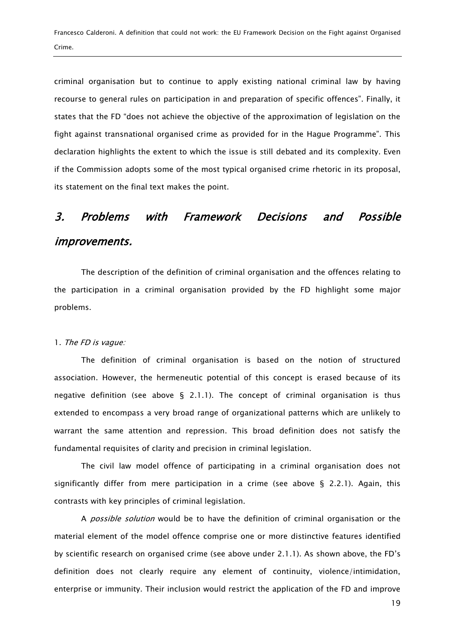criminal organisation but to continue to apply existing national criminal law by having recourse to general rules on participation in and preparation of specific offences". Finally, it states that the FD "does not achieve the objective of the approximation of legislation on the fight against transnational organised crime as provided for in the Hague Programme". This declaration highlights the extent to which the issue is still debated and its complexity. Even if the Commission adopts some of the most typical organised crime rhetoric in its proposal, its statement on the final text makes the point.

## 3. Problems with Framework Decisions and Possible improvements.

The description of the definition of criminal organisation and the offences relating to the participation in a criminal organisation provided by the FD highlight some major problems.

#### 1. The FD is vague:

The definition of criminal organisation is based on the notion of structured association. However, the hermeneutic potential of this concept is erased because of its negative definition (see above § 2.1.1). The concept of criminal organisation is thus extended to encompass a very broad range of organizational patterns which are unlikely to warrant the same attention and repression. This broad definition does not satisfy the fundamental requisites of clarity and precision in criminal legislation.

The civil law model offence of participating in a criminal organisation does not significantly differ from mere participation in a crime (see above § 2.2.1). Again, this contrasts with key principles of criminal legislation.

A *possible solution* would be to have the definition of criminal organisation or the material element of the model offence comprise one or more distinctive features identified by scientific research on organised crime (see above under 2.1.1). As shown above, the FD's definition does not clearly require any element of continuity, violence/intimidation, enterprise or immunity. Their inclusion would restrict the application of the FD and improve

19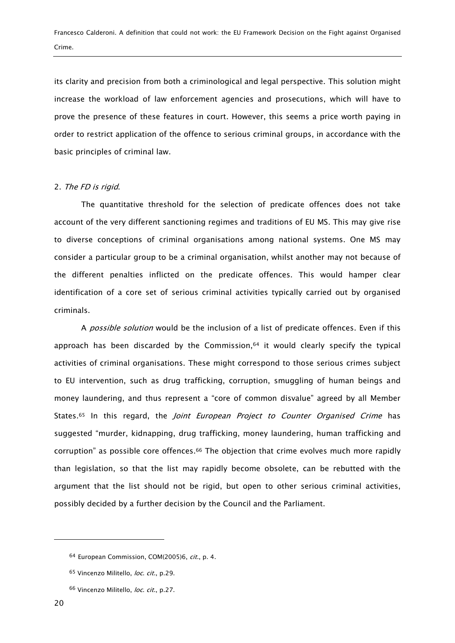its clarity and precision from both a criminological and legal perspective. This solution might increase the workload of law enforcement agencies and prosecutions, which will have to prove the presence of these features in court. However, this seems a price worth paying in order to restrict application of the offence to serious criminal groups, in accordance with the basic principles of criminal law.

#### 2. The FD is rigid.

The quantitative threshold for the selection of predicate offences does not take account of the very different sanctioning regimes and traditions of EU MS. This may give rise to diverse conceptions of criminal organisations among national systems. One MS may consider a particular group to be a criminal organisation, whilst another may not because of the different penalties inflicted on the predicate offences. This would hamper clear identification of a core set of serious criminal activities typically carried out by organised criminals.

A *possible solution* would be the inclusion of a list of predicate offences. Even if this approach has been discarded by the Commission, $64$  it would clearly specify the typical activities of criminal organisations. These might correspond to those serious crimes subject to EU intervention, such as drug trafficking, corruption, smuggling of human beings and money laundering, and thus represent a "core of common disvalue" agreed by all Member States.<sup>65</sup> In this regard, the *Joint European Project to Counter Organised Crime* has suggested "murder, kidnapping, drug trafficking, money laundering, human trafficking and corruption" as possible core offences. <sup>66</sup> The objection that crime evolves much more rapidly than legislation, so that the list may rapidly become obsolete, can be rebutted with the argument that the list should not be rigid, but open to other serious criminal activities, possibly decided by a further decision by the Council and the Parliament.

<sup>64</sup> European Commission, COM(2005)6, cit., p. 4.

<sup>&</sup>lt;sup>65</sup> Vincenzo Militello. loc. cit., p.29.

<sup>66</sup> Vincenzo Militello, loc. cit., p.27.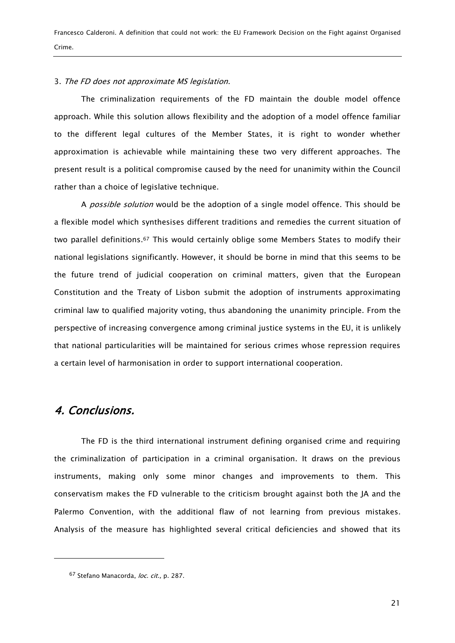#### 3. The FD does not approximate MS legislation.

The criminalization requirements of the FD maintain the double model offence approach. While this solution allows flexibility and the adoption of a model offence familiar to the different legal cultures of the Member States, it is right to wonder whether approximation is achievable while maintaining these two very different approaches. The present result is a political compromise caused by the need for unanimity within the Council rather than a choice of legislative technique.

A possible solution would be the adoption of a single model offence. This should be a flexible model which synthesises different traditions and remedies the current situation of two parallel definitions. <sup>67</sup> This would certainly oblige some Members States to modify their national legislations significantly. However, it should be borne in mind that this seems to be the future trend of judicial cooperation on criminal matters, given that the European Constitution and the Treaty of Lisbon submit the adoption of instruments approximating criminal law to qualified majority voting, thus abandoning the unanimity principle. From the perspective of increasing convergence among criminal justice systems in the EU, it is unlikely that national particularities will be maintained for serious crimes whose repression requires a certain level of harmonisation in order to support international cooperation.

## 4. Conclusions.

l

The FD is the third international instrument defining organised crime and requiring the criminalization of participation in a criminal organisation. It draws on the previous instruments, making only some minor changes and improvements to them. This conservatism makes the FD vulnerable to the criticism brought against both the JA and the Palermo Convention, with the additional flaw of not learning from previous mistakes. Analysis of the measure has highlighted several critical deficiencies and showed that its

<sup>67</sup> Stefano Manacorda, loc. cit., p. 287.